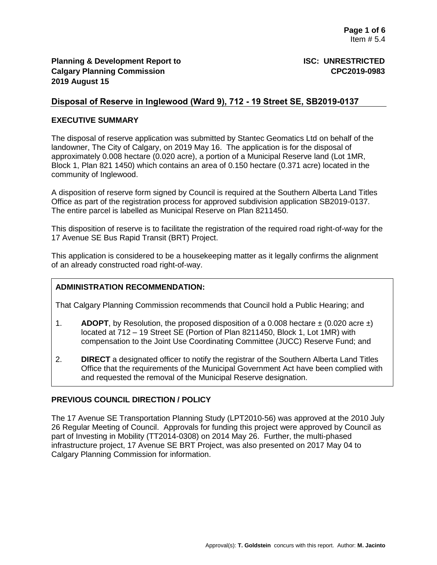## **Disposal of Reserve in Inglewood (Ward 9), 712 - 19 Street SE, SB2019-0137**

#### **EXECUTIVE SUMMARY**

The disposal of reserve application was submitted by Stantec Geomatics Ltd on behalf of the landowner, The City of Calgary, on 2019 May 16. The application is for the disposal of approximately 0.008 hectare (0.020 acre), a portion of a Municipal Reserve land (Lot 1MR, Block 1, Plan 821 1450) which contains an area of 0.150 hectare (0.371 acre) located in the community of Inglewood.

A disposition of reserve form signed by Council is required at the Southern Alberta Land Titles Office as part of the registration process for approved subdivision application SB2019-0137. The entire parcel is labelled as Municipal Reserve on Plan 8211450.

This disposition of reserve is to facilitate the registration of the required road right-of-way for the 17 Avenue SE Bus Rapid Transit (BRT) Project.

This application is considered to be a housekeeping matter as it legally confirms the alignment of an already constructed road right-of-way.

#### **ADMINISTRATION RECOMMENDATION:**

That Calgary Planning Commission recommends that Council hold a Public Hearing; and

- 1. **ADOPT**, by Resolution, the proposed disposition of a 0.008 hectare  $\pm$  (0.020 acre  $\pm$ ) located at 712 – 19 Street SE (Portion of Plan 8211450, Block 1, Lot 1MR) with compensation to the Joint Use Coordinating Committee (JUCC) Reserve Fund; and
- 2. **DIRECT** a designated officer to notify the registrar of the Southern Alberta Land Titles Office that the requirements of the Municipal Government Act have been complied with and requested the removal of the Municipal Reserve designation.

## **PREVIOUS COUNCIL DIRECTION / POLICY**

The 17 Avenue SE Transportation Planning Study (LPT2010-56) was approved at the 2010 July 26 Regular Meeting of Council. Approvals for funding this project were approved by Council as part of Investing in Mobility (TT2014-0308) on 2014 May 26. Further, the multi-phased infrastructure project, 17 Avenue SE BRT Project, was also presented on 2017 May 04 to Calgary Planning Commission for information.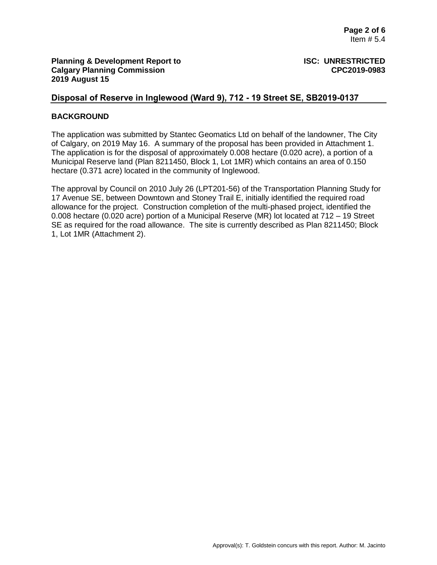## **Disposal of Reserve in Inglewood (Ward 9), 712 - 19 Street SE, SB2019-0137**

#### **BACKGROUND**

The application was submitted by Stantec Geomatics Ltd on behalf of the landowner, The City of Calgary, on 2019 May 16. A summary of the proposal has been provided in Attachment 1. The application is for the disposal of approximately 0.008 hectare (0.020 acre), a portion of a Municipal Reserve land (Plan 8211450, Block 1, Lot 1MR) which contains an area of 0.150 hectare (0.371 acre) located in the community of Inglewood.

The approval by Council on 2010 July 26 (LPT201-56) of the Transportation Planning Study for 17 Avenue SE, between Downtown and Stoney Trail E, initially identified the required road allowance for the project. Construction completion of the multi-phased project, identified the 0.008 hectare (0.020 acre) portion of a Municipal Reserve (MR) lot located at 712 – 19 Street SE as required for the road allowance. The site is currently described as Plan 8211450; Block 1, Lot 1MR (Attachment 2).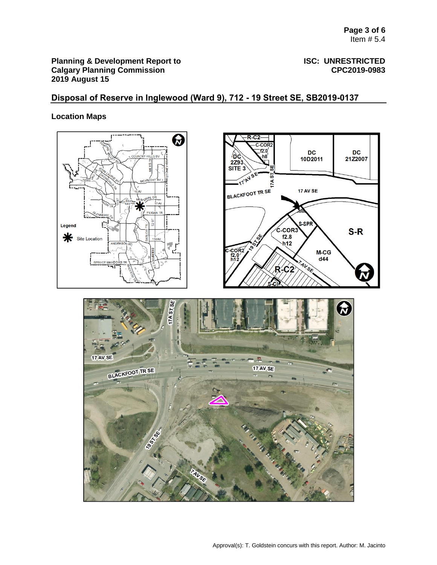# **Disposal of Reserve in Inglewood (Ward 9), 712 - 19 Street SE, SB2019-0137**

## **Location Maps**

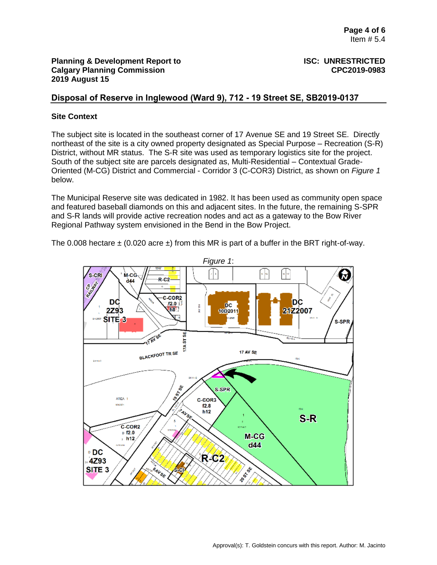## **Disposal of Reserve in Inglewood (Ward 9), 712 - 19 Street SE, SB2019-0137**

#### **Site Context**

The subject site is located in the southeast corner of 17 Avenue SE and 19 Street SE. Directly northeast of the site is a city owned property designated as Special Purpose – Recreation (S-R) District, without MR status. The S-R site was used as temporary logistics site for the project. South of the subject site are parcels designated as, Multi-Residential – Contextual Grade-Oriented (M-CG) District and Commercial - Corridor 3 (C-COR3) District, as shown on *Figure 1* below.

The Municipal Reserve site was dedicated in 1982. It has been used as community open space and featured baseball diamonds on this and adjacent sites. In the future, the remaining S-SPR and S-R lands will provide active recreation nodes and act as a gateway to the Bow River Regional Pathway system envisioned in the Bend in the Bow Project.

The 0.008 hectare  $\pm$  (0.020 acre  $\pm$ ) from this MR is part of a buffer in the BRT right-of-way.

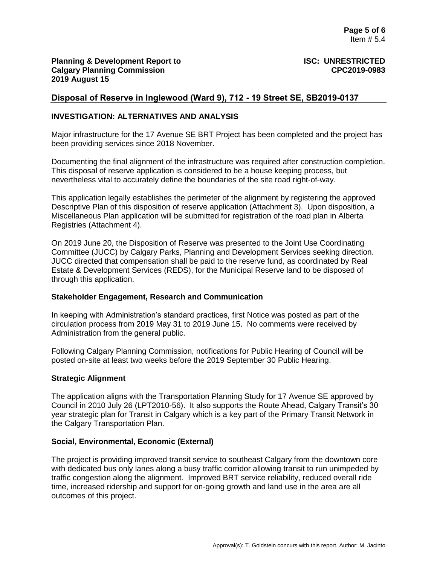## **Disposal of Reserve in Inglewood (Ward 9), 712 - 19 Street SE, SB2019-0137**

#### **INVESTIGATION: ALTERNATIVES AND ANALYSIS**

Major infrastructure for the 17 Avenue SE BRT Project has been completed and the project has been providing services since 2018 November.

Documenting the final alignment of the infrastructure was required after construction completion. This disposal of reserve application is considered to be a house keeping process, but nevertheless vital to accurately define the boundaries of the site road right-of-way.

This application legally establishes the perimeter of the alignment by registering the approved Descriptive Plan of this disposition of reserve application (Attachment 3). Upon disposition, a Miscellaneous Plan application will be submitted for registration of the road plan in Alberta Registries (Attachment 4).

On 2019 June 20, the Disposition of Reserve was presented to the Joint Use Coordinating Committee (JUCC) by Calgary Parks, Planning and Development Services seeking direction. JUCC directed that compensation shall be paid to the reserve fund, as coordinated by Real Estate & Development Services (REDS), for the Municipal Reserve land to be disposed of through this application.

#### **Stakeholder Engagement, Research and Communication**

In keeping with Administration's standard practices, first Notice was posted as part of the circulation process from 2019 May 31 to 2019 June 15. No comments were received by Administration from the general public.

Following Calgary Planning Commission, notifications for Public Hearing of Council will be posted on-site at least two weeks before the 2019 September 30 Public Hearing.

#### **Strategic Alignment**

The application aligns with the Transportation Planning Study for 17 Avenue SE approved by Council in 2010 July 26 (LPT2010-56). It also supports the Route Ahead, Calgary Transit's 30 year strategic plan for Transit in Calgary which is a key part of the Primary Transit Network in the Calgary Transportation Plan.

#### **Social, Environmental, Economic (External)**

The project is providing improved transit service to southeast Calgary from the downtown core with dedicated bus only lanes along a busy traffic corridor allowing transit to run unimpeded by traffic congestion along the alignment. Improved BRT service reliability, reduced overall ride time, increased ridership and support for on-going growth and land use in the area are all outcomes of this project.